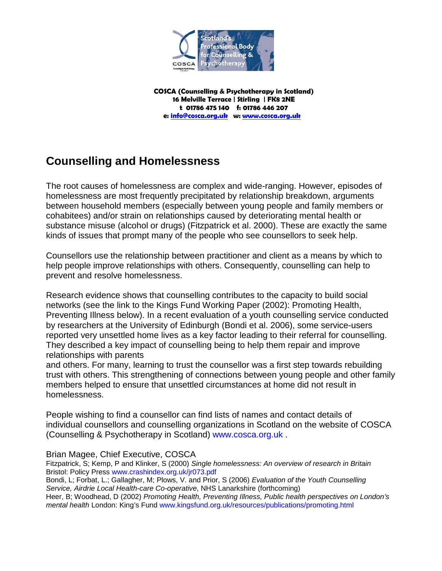

**COSCA (Counselling & Psychotherapy in Scotland) 16 Melville Terrace | Stirling | FK8 2NE t 01786 475 140 f: 01786 446 207 e: [info@cosca.org.uk](mailto:info@cosca.org.uk) w: [www.cosca.org.uk](http://www.cosca.org.uk/)**

## **Counselling and Homelessness**

The root causes of homelessness are complex and wide-ranging. However, episodes of homelessness are most frequently precipitated by relationship breakdown, arguments between household members (especially between young people and family members or cohabitees) and/or strain on relationships caused by deteriorating mental health or substance misuse (alcohol or drugs) (Fitzpatrick et al. 2000). These are exactly the same kinds of issues that prompt many of the people who see counsellors to seek help.

Counsellors use the relationship between practitioner and client as a means by which to help people improve relationships with others. Consequently, counselling can help to prevent and resolve homelessness.

Research evidence shows that counselling contributes to the capacity to build social networks (see the link to the Kings Fund Working Paper (2002): Promoting Health, Preventing Illness below). In a recent evaluation of a youth counselling service conducted by researchers at the University of Edinburgh (Bondi et al. 2006), some service-users reported very unsettled home lives as a key factor leading to their referral for counselling. They described a key impact of counselling being to help them repair and improve relationships with parents

and others. For many, learning to trust the counsellor was a first step towards rebuilding trust with others. This strengthening of connections between young people and other family members helped to ensure that unsettled circumstances at home did not result in homelessness.

People wishing to find a counsellor can find lists of names and contact details of individual counsellors and counselling organizations in Scotland on the website of COSCA (Counselling & Psychotherapy in Scotland) www.cosca.org.uk .

## Brian Magee, Chief Executive, COSCA

Fitzpatrick, S; Kemp, P and Klinker, S (2000) *Single homelessness: An overview of research in Britain* Bristol: Policy Press www.crashindex.org.uk/jr073.pdf Bondi, L; Forbat, L.; Gallagher, M; Plows, V. and Prior, S (2006) *Evaluation of the Youth Counselling Service, Airdrie Local Health-care Co-operative*, NHS Lanarkshire (forthcoming) Heer, B; Woodhead, D (2002) *Promoting Health, Preventing Illness, Public health perspectives on London's mental health* London: King's Fund www.kingsfund.org.uk/resources/publications/promoting.html